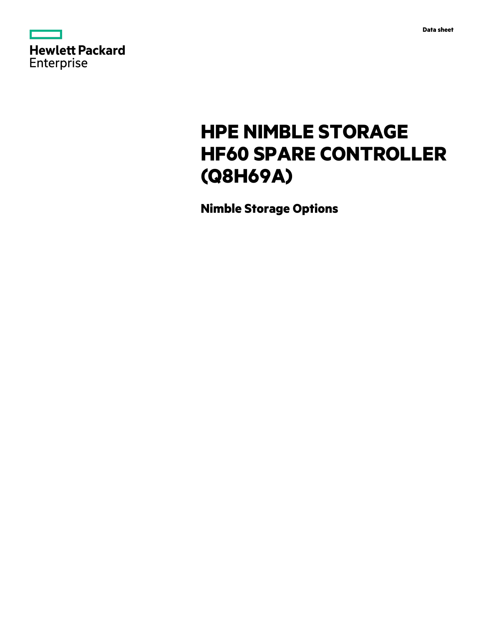| <b>Hewlett Packard</b> |  |
|------------------------|--|
| <b>Enterprise</b>      |  |

# **HPE NIMBLE STORAGE HF60 SPARE CONTROLLER (Q8H69A)**

**Nimble Storage Options**